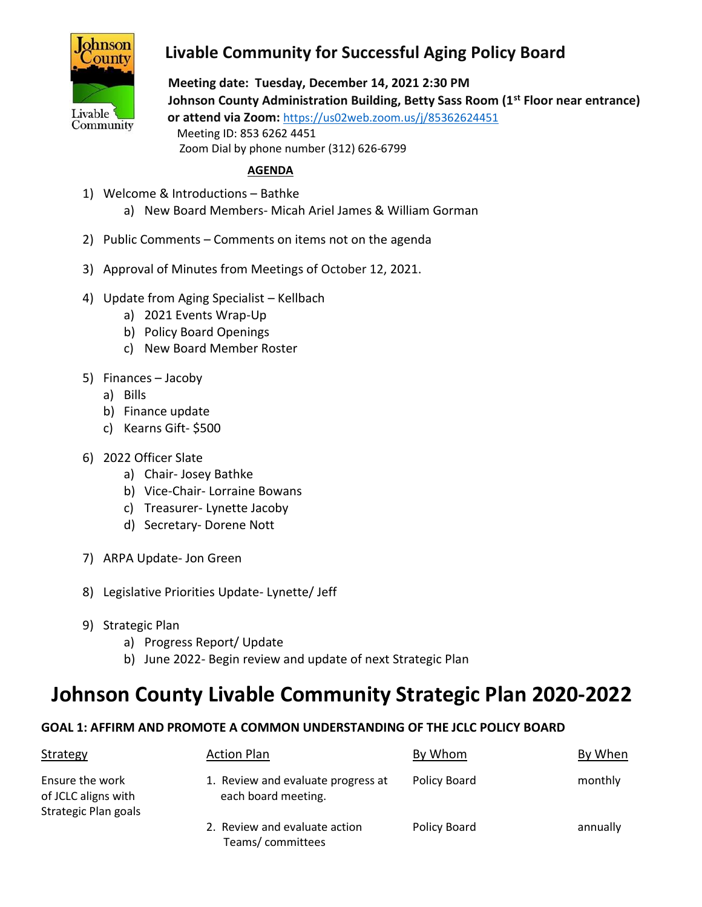

# **Livable Community for Successful Aging Policy Board**

 **Meeting date: Tuesday, December 14, 2021 2:30 PM Johnson County Administration Building, Betty Sass Room (1st Floor near entrance) or attend via Zoom:** <https://us02web.zoom.us/j/85362624451> Meeting ID: 853 6262 4451 Zoom Dial by phone number (312) 626-6799

#### **AGENDA**

- 1) Welcome & Introductions Bathke
	- a) New Board Members- Micah Ariel James & William Gorman
- 2) Public Comments Comments on items not on the agenda
- 3) Approval of Minutes from Meetings of October 12, 2021.
- 4) Update from Aging Specialist Kellbach
	- a) 2021 Events Wrap-Up
	- b) Policy Board Openings
	- c) New Board Member Roster
- 5) Finances Jacoby
	- a) Bills
	- b) Finance update
	- c) Kearns Gift- \$500
- 6) 2022 Officer Slate
	- a) Chair- Josey Bathke
	- b) Vice-Chair- Lorraine Bowans
	- c) Treasurer- Lynette Jacoby
	- d) Secretary- Dorene Nott
- 7) ARPA Update- Jon Green
- 8) Legislative Priorities Update- Lynette/ Jeff
- 9) Strategic Plan
	- a) Progress Report/ Update
	- b) June 2022- Begin review and update of next Strategic Plan

# **Johnson County Livable Community Strategic Plan 2020-2022**

## **GOAL 1: AFFIRM AND PROMOTE A COMMON UNDERSTANDING OF THE JCLC POLICY BOARD**

| Strategy                                                       | <b>Action Plan</b>                                        | By Whom      | By When  |
|----------------------------------------------------------------|-----------------------------------------------------------|--------------|----------|
| Ensure the work<br>of JCLC aligns with<br>Strategic Plan goals | 1. Review and evaluate progress at<br>each board meeting. | Policy Board | monthly  |
|                                                                | 2. Review and evaluate action<br>Teams/committees         | Policy Board | annually |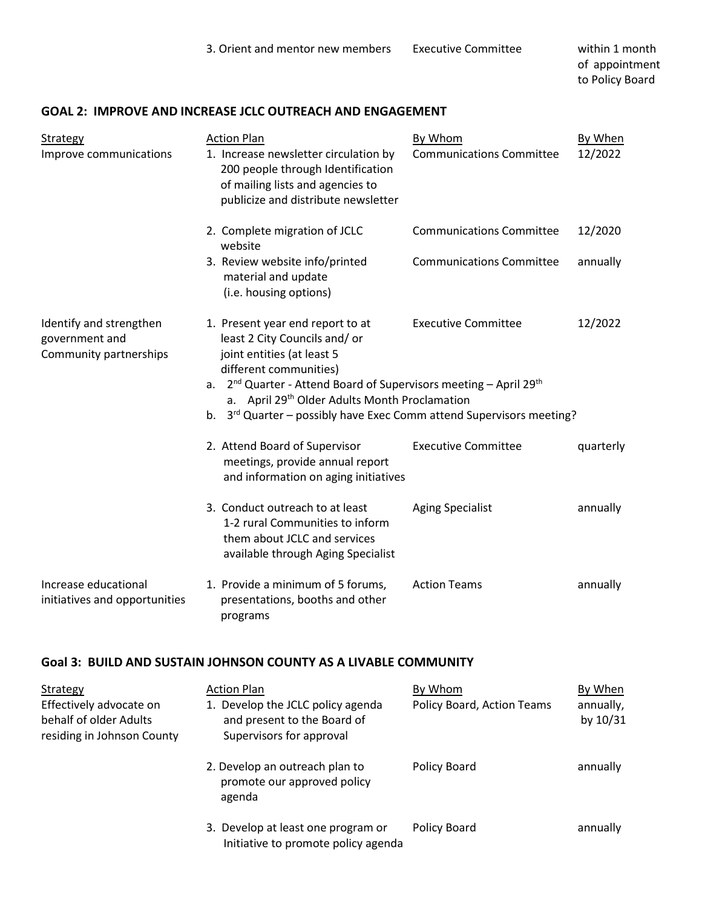#### **GOAL 2: IMPROVE AND INCREASE JCLC OUTREACH AND ENGAGEMENT**

| <b>Strategy</b><br>Improve communications                           | <b>Action Plan</b><br>1. Increase newsletter circulation by<br>200 people through Identification<br>of mailing lists and agencies to<br>publicize and distribute newsletter                                                                                                                                                                                                                      | By Whom<br><b>Communications Committee</b> | By When<br>12/2022 |  |
|---------------------------------------------------------------------|--------------------------------------------------------------------------------------------------------------------------------------------------------------------------------------------------------------------------------------------------------------------------------------------------------------------------------------------------------------------------------------------------|--------------------------------------------|--------------------|--|
|                                                                     | 2. Complete migration of JCLC<br>website                                                                                                                                                                                                                                                                                                                                                         | <b>Communications Committee</b>            | 12/2020            |  |
|                                                                     | 3. Review website info/printed<br>material and update<br>(i.e. housing options)                                                                                                                                                                                                                                                                                                                  | <b>Communications Committee</b>            | annually           |  |
| Identify and strengthen<br>government and<br>Community partnerships | 12/2022<br>1. Present year end report to at<br><b>Executive Committee</b><br>least 2 City Councils and/ or<br>joint entities (at least 5<br>different communities)<br>$2nd$ Quarter - Attend Board of Supervisors meeting – April 29 <sup>th</sup><br>а.<br>a. April 29th Older Adults Month Proclamation<br>3 <sup>rd</sup> Quarter – possibly have Exec Comm attend Supervisors meeting?<br>b. |                                            |                    |  |
|                                                                     | 2. Attend Board of Supervisor<br>meetings, provide annual report<br>and information on aging initiatives                                                                                                                                                                                                                                                                                         | <b>Executive Committee</b>                 | quarterly          |  |
|                                                                     | 3. Conduct outreach to at least<br>1-2 rural Communities to inform<br>them about JCLC and services<br>available through Aging Specialist                                                                                                                                                                                                                                                         | <b>Aging Specialist</b>                    | annually           |  |
| Increase educational<br>initiatives and opportunities               | 1. Provide a minimum of 5 forums,<br>presentations, booths and other<br>programs                                                                                                                                                                                                                                                                                                                 | <b>Action Teams</b>                        | annually           |  |

#### **Goal 3: BUILD AND SUSTAIN JOHNSON COUNTY AS A LIVABLE COMMUNITY**

| Strategy                                                                        | <b>Action Plan</b>                                                                           | By Whom                    | By When               |
|---------------------------------------------------------------------------------|----------------------------------------------------------------------------------------------|----------------------------|-----------------------|
| Effectively advocate on<br>behalf of older Adults<br>residing in Johnson County | 1. Develop the JCLC policy agenda<br>and present to the Board of<br>Supervisors for approval | Policy Board, Action Teams | annually,<br>by 10/31 |
|                                                                                 | 2. Develop an outreach plan to<br>promote our approved policy<br>agenda                      | Policy Board               | annually              |
|                                                                                 | 3. Develop at least one program or<br>Initiative to promote policy agenda                    | Policy Board               | annually              |